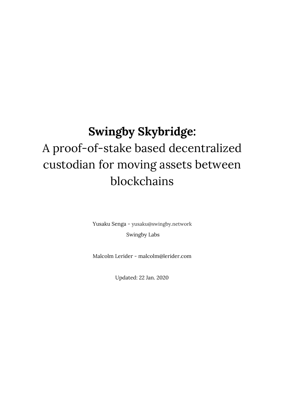# **Swingby Skybridge:** A proof-of-stake based decentralized custodian for moving assets between blockchains

Yusaku Senga - yusaku@swingby.network Swingby Labs

Malcolm Lerider - malcolm@lerider.com

Updated: 22 Jan. 2020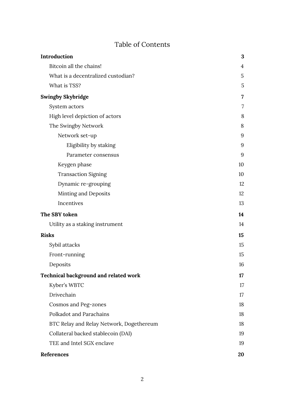# Table of Contents

| Introduction                                 | 3              |
|----------------------------------------------|----------------|
| Bitcoin all the chains!                      | $\overline{4}$ |
| What is a decentralized custodian?           | 5              |
| What is TSS?                                 | 5              |
| <b>Swingby Skybridge</b>                     | 7              |
| System actors                                | 7              |
| High level depiction of actors               | 8              |
| The Swingby Network                          | 8              |
| Network set-up                               | 9              |
| Eligibility by staking                       | 9              |
| Parameter consensus                          | 9              |
| Keygen phase                                 | 10             |
| <b>Transaction Signing</b>                   | 10             |
| Dynamic re-grouping                          | 12             |
| Minting and Deposits                         | 12             |
| Incentives                                   | 13             |
| The SBY token                                | 14             |
| Utility as a staking instrument              | 14             |
| <b>Risks</b>                                 | 15             |
| Sybil attacks                                | 15             |
| Front-running                                | 15             |
| Deposits                                     | 16             |
| <b>Technical background and related work</b> | 17             |
| Kyber's WBTC                                 | 17             |
| Drivechain                                   | 17             |
| Cosmos and Peg-zones                         | 18             |
| Polkadot and Parachains                      | 18             |
| BTC Relay and Relay Network, Dogethereum     | 18             |
| Collateral backed stablecoin (DAI)           | 19             |
| TEE and Intel SGX enclave                    | 19             |
| References                                   | 20             |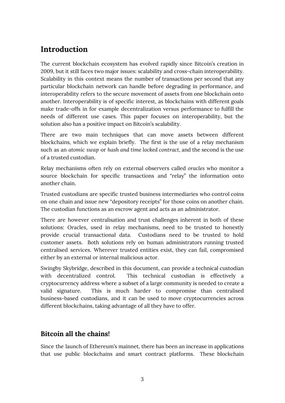# <span id="page-2-0"></span>**Introduction**

The current blockchain ecosystem has evolved rapidly since Bitcoin's creation in 2009, but it still faces two major issues: scalability and cross-chain interoperability. Scalability in this context means the number of transactions per second that any particular blockchain network can handle before degrading in performance, and interoperability refers to the secure movement of assets from one blockchain onto another. Interoperability is of specific interest, as blockchains with different goals make trade-offs in for example decentralization versus performance to fulfill the needs of different use cases. This paper focuses on interoperability, but the solution also has a positive impact on Bitcoin's scalability.

There are two main techniques that can move assets between different blockchains, which we explain briefly. The first is the use of a relay mechanism such as an *atomic swap* or *hash and time locked contract*, and the second is the use of a trusted custodian.

Relay mechanisms often rely on external observers called *oracles* who monitor a source blockchain for specific transactions and "relay" the information onto another chain.

Trusted custodians are specific trusted business intermediaries who control coins on one chain and issue new "depository receipts" for those coins on another chain. The custodian functions as an escrow agent and acts as an administrator.

There are however centralisation and trust challenges inherent in both of these solutions: Oracles, used in relay mechanisms, need to be trusted to honestly provide crucial transactional data. Custodians need to be trusted to hold customer assets. Both solutions rely on human administrators running trusted centralised services. Wherever trusted entities exist, they can fail, compromised either by an external or internal malicious actor.

Swingby Skybridge, described in this document, can provide a technical custodian with decentralized control. This technical custodian is effectively a cryptocurrency address where a subset of a large community is needed to create a valid signature. This is much harder to compromise than centralised business-based custodians, and it can be used to move cryptocurrencies across different blockchains, taking advantage of all they have to offer.

### <span id="page-2-1"></span>**Bitcoin all the chains!**

Since the launch of Ethereum's mainnet, there has been an increase in applications that use public blockchains and smart contract platforms. These blockchain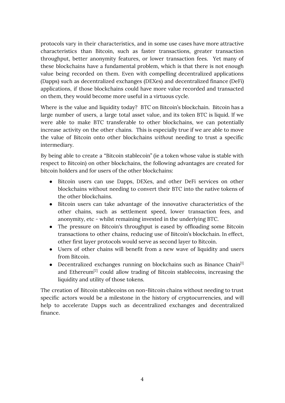protocols vary in their characteristics, and in some use cases have more attractive characteristics than Bitcoin, such as faster transactions, greater transaction throughput, better anonymity features, or lower transaction fees. Yet many of these blockchains have a fundamental problem, which is that there is not enough value being recorded on them. Even with compelling decentralized applications (Dapps) such as decentralized exchanges (DEXes) and decentralized finance (DeFi) applications, if those blockchains could have more value recorded and transacted on them, they would become more useful in a virtuous cycle.

Where is the value and liquidity today? BTC on Bitcoin's blockchain. Bitcoin has a large number of users, a large total asset value, and its token BTC is liquid. If we were able to make BTC transferable to other blockchains, we can potentially increase activity on the other chains. This is especially true if we are able to move the value of Bitcoin onto other blockchains *without* needing to trust a specific intermediary.

By being able to create a "Bitcoin stablecoin" (ie a token whose value is stable with respect to Bitcoin) on other blockchains, the following advantages are created for bitcoin holders and for users of the other blockchains:

- Bitcoin users can use Dapps, DEXes, and other DeFi services on other blockchains without needing to convert their BTC into the native tokens of the other blockchains.
- Bitcoin users can take advantage of the innovative characteristics of the other chains, such as settlement speed, lower transaction fees, and anonymity, etc - whilst remaining invested in the underlying BTC.
- The pressure on Bitcoin's throughput is eased by offloading some Bitcoin transactions to other chains, reducing use of Bitcoin's blockchain. In effect, other first layer protocols would serve as second layer to Bitcoin.
- Users of other chains will benefit from a new wave of liquidity and users from Bitcoin.
- Decentralized exchanges running on blockchains such as Binance Chain<sup>[1]</sup> and Ethereum<sup>[2]</sup> could allow trading of Bitcoin stablecoins, increasing the liquidity and utility of those tokens.

The creation of Bitcoin stablecoins on non-Bitcoin chains without needing to trust specific actors would be a milestone in the history of cryptocurrencies, and will help to accelerate Dapps such as decentralized exchanges and decentralized finance.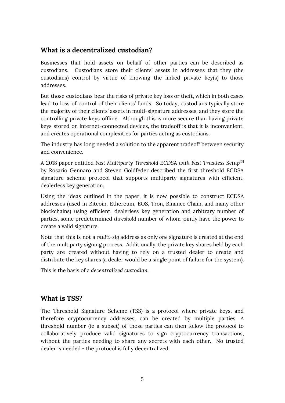### <span id="page-4-0"></span>**What is a decentralized custodian?**

Businesses that hold assets on behalf of other parties can be described as custodians. Custodians store their clients' assets in addresses that they (the custodians) control by virtue of knowing the linked private key(s) to those addresses.

But those custodians bear the risks of private key loss or theft, which in both cases lead to loss of control of their clients' funds. So today, custodians typically store the majority of their clients' assets in multi-signature addresses, and they store the controlling private keys offline. Although this is more secure than having private keys stored on internet-connected devices, the tradeoff is that it is inconvenient, and creates operational complexities for parties acting as custodians.

The industry has long needed a solution to the apparent tradeoff between security and convenience.

A 2018 paper entitled *Fast Multiparty Threshold ECDSA with Fast Trustless Setup* [3] by Rosario Gennaro and Steven Goldfeder described the first threshold ECDSA signature scheme protocol that supports multiparty signatures with efficient, dealerless key generation.

Using the ideas outlined in the paper, it is now possible to construct ECDSA addresses (used in Bitcoin, Ethereum, EOS, Tron, Binance Chain, and many other blockchains) using efficient, dealerless key generation and arbitrary number of parties, some predetermined *threshold* number of whom jointly have the power to create a valid signature.

Note that this is not a *multi-sig* address as only *one* signature is created at the end of the multiparty signing process. Additionally, the private key shares held by each party are created without having to rely on a trusted dealer to create and distribute the key shares (a dealer would be a single point of failure for the system).

This is the basis of a *decentralized custodian*.

### <span id="page-4-1"></span>**What is TSS?**

The Threshold Signature Scheme (TSS) is a protocol where private keys, and therefore cryptocurrency addresses, can be created by multiple parties. A threshold number (ie a subset) of those parties can then follow the protocol to collaboratively produce valid signatures to sign cryptocurrency transactions, without the parties needing to share any secrets with each other. No trusted dealer is needed - the protocol is fully decentralized.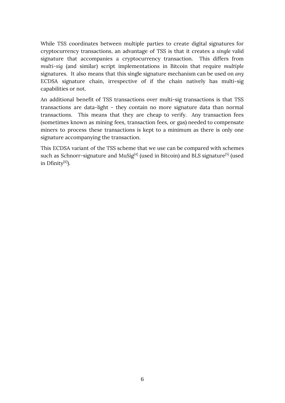While TSS coordinates between multiple parties to create digital signatures for cryptocurrency transactions, an advantage of TSS is that it creates a *single* valid signature that accompanies a cryptocurrency transaction. This differs from *multi-sig* (and similar) script implementations in Bitcoin that require *multiple* signatures. It also means that this single signature mechanism can be used on *any* ECDSA signature chain, irrespective of if the chain natively has multi-sig capabilities or not.

An additional benefit of TSS transactions over multi-sig transactions is that TSS transactions are data-light - they contain no more signature data than normal transactions. This means that they are cheap to verify. Any transaction fees (sometimes known as mining fees, transaction fees, or gas) needed to compensate miners to process these transactions is kept to a minimum as there is only one signature accompanying the transaction.

This ECDSA variant of the TSS scheme that we use can be compared with schemes such as Schnorr-signature and MuSig $^{[4]}$  (used in Bitcoin) and BLS signature $^{[5]}$  (used in Dfinity $^{[6]}$ ).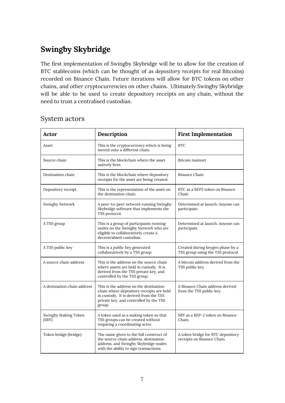# <span id="page-6-0"></span>**Swingby Skybridge**

The first implementation of Swingby Skybridge will be to allow for the creation of BTC stablecoins (which can be thought of as *depository receipts* for real Bitcoins) recorded on Binance Chain. Future iterations will allow for BTC tokens on other chains, and other cryptocurrencies on other chains. Ultimately Swingby Skybridge will be able to be used to create depository receipts on any chain, without the need to trust a centralised custodian.

| Actor                          | Description                                                                                                                                                                      | <b>First Implementation</b>                                           |
|--------------------------------|----------------------------------------------------------------------------------------------------------------------------------------------------------------------------------|-----------------------------------------------------------------------|
| Asset                          | This is the cryptocurrency which is being<br>moved onto a different chain.                                                                                                       | <b>BTC</b>                                                            |
| Source chain                   | This is the blockchain where the asset<br>natively lives.                                                                                                                        | Bitcoin mainnet                                                       |
| Destination chain              | This is the blockchain where depository<br>receipts for the asset are being created.                                                                                             | Binance Chain                                                         |
| Depository receipt             | This is the representation of the asset on<br>the destination chain.                                                                                                             | BTC as a BEP2 token on Binance<br>Chain                               |
| Swingby Network                | A peer-to-peer network running Swingby<br>Skybridge software that implements the<br>TSS protocol.                                                                                | Determined at launch: Anyone can<br>participate.                      |
| A TSS group                    | This is a group of participants running<br>nodes on the Swingby Network who are<br>eligible to collaboratively create a<br>decentralised custodian.                              | Determined at launch: Anyone can<br>participate.                      |
| A TSS public key               | This is a public key generated<br>collaboratively by a TSS group.                                                                                                                | Created during keygen phase by a<br>TSS group using the TSS protocol. |
| A source chain address         | This is the address on the source chain<br>where assets are held in custody. It is<br>derived from the TSS private key, and<br>controlled by the TSS group.                      | A bitcoin address derived from the<br>TSS public key.                 |
| A destination chain address    | This is the address on the destination<br>chain where depository receipts are held<br>in custody. It is derived from the TSS<br>private key, and controlled by the TSS<br>group. | A Binance Chain address derived<br>from the TSS public key.           |
| Swingby Staking Token<br>(SBY) | A token used as a staking token so that<br>TSS groups can be created without<br>requiring a coordinating actor.                                                                  | SBY as a BEP-2 token on Binance<br>Chain.                             |
| Token bridge (bridge)          | The name given to the full construct of<br>the source chain address, destination<br>address, and Swingby Skybridge nodes<br>with the ability to sign transactions.               | A token bridge for BTC depository<br>receipts on Binance Chain.       |

### <span id="page-6-1"></span>System actors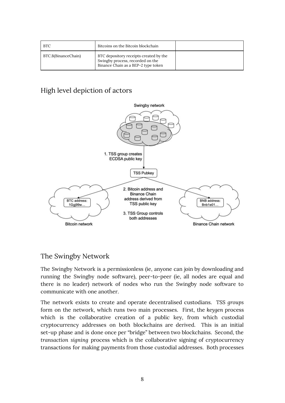| <b>BTC</b>          | Bitcoins on the Bitcoin blockchain                                                                                |  |
|---------------------|-------------------------------------------------------------------------------------------------------------------|--|
| BTC.B(BinanceChain) | BTC depository receipts created by the<br>Swingby process, recorded on the<br>Binance Chain as a BEP-2 type token |  |

# <span id="page-7-0"></span>High level depiction of actors



### <span id="page-7-1"></span>The Swingby Network

The Swingby Network is a permissionless (ie, anyone can join by downloading and running the Swingby node software), peer-to-peer (ie, all nodes are equal and there is no leader) network of nodes who run the Swingby node software to communicate with one another.

The network exists to create and operate decentralised custodians. TSS *groups* form on the network, which runs two main processes. First, the *keygen* process which is the collaborative creation of a public key, from which custodial cryptocurrency addresses on both blockchains are derived. This is an initial set-up phase and is done once per "bridge" between two blockchains. Second, the *transaction signing* process which is the collaborative signing of cryptocurrency transactions for making payments from those custodial addresses. Both processes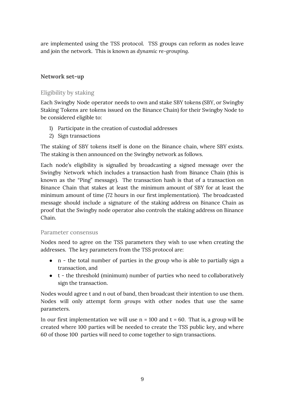are implemented using the TSS protocol. TSS groups can reform as nodes leave and join the network. This is known as *dynamic re-grouping*.

### <span id="page-8-0"></span>**Network set-up**

### <span id="page-8-1"></span>Eligibility by staking

Each Swingby Node operator needs to own and stake SBY tokens (SBY, or Swingby Staking Tokens are tokens issued on the Binance Chain) for their Swingby Node to be considered eligible to:

- 1) Participate in the creation of custodial addresses
- 2) Sign transactions

The staking of SBY tokens itself is done on the Binance chain, where SBY exists. The staking is then announced on the Swingby network as follows.

Each node's eligibility is signalled by broadcasting a signed message over the Swingby Network which includes a transaction hash from Binance Chain (this is known as the "Ping" message). The transaction hash is that of a transaction on Binance Chain that stakes at least the minimum amount of SBY for at least the minimum amount of time (72 hours in our first implementation). The broadcasted message should include a signature of the staking address on Binance Chain as proof that the Swingby node operator also controls the staking address on Binance Chain.

#### <span id="page-8-2"></span>Parameter consensus

Nodes need to agree on the TSS parameters they wish to use when creating the addresses. The key parameters from the TSS protocol are:

- n the total number of parties in the group who is able to partially sign a transaction, and
- t the threshold (minimum) number of parties who need to collaboratively sign the transaction.

Nodes would agree t and n out of band, then broadcast their intention to use them. Nodes will only attempt form *groups* with other nodes that use the same parameters.

In our first implementation we will use  $n = 100$  and  $t = 60$ . That is, a group will be created where 100 parties will be needed to create the TSS public key, and where 60 of those 100 parties will need to come together to sign transactions.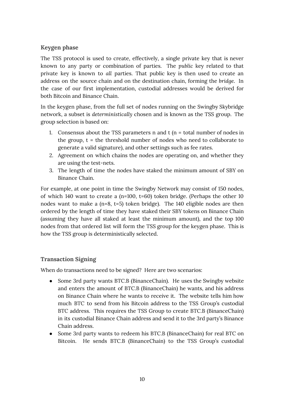#### <span id="page-9-0"></span>**Keygen phase**

The TSS protocol is used to create, effectively, a single private key that is never known to any party or combination of parties. The *public* key related to that private key is known to *all* parties. That public key is then used to create an address on the source chain and on the destination chain, forming the *bridge*. In the case of our first implementation, custodial addresses would be derived for both Bitcoin and Binance Chain.

In the keygen phase, from the full set of nodes running on the Swingby Skybridge network, a subset is *deterministically* chosen and is known as the TSS group. The group selection is based on:

- 1. Consensus about the TSS parameters  $n$  and  $t$  ( $n =$  total number of nodes in the group,  $t =$  the threshold number of nodes who need to collaborate to generate a valid signature), and other settings such as fee rates.
- 2. Agreement on which chains the nodes are operating on, and whether they are using the test-nets.
- 3. The length of time the nodes have staked the minimum amount of SBY on Binance Chain.

For example, at one point in time the Swingby Network may consist of 150 nodes, of which 140 want to create a (n=100, t=60) token bridge. (Perhaps the other 10 nodes want to make a (n=8, t=5) token bridge). The 140 eligible nodes are then ordered by the length of time they have staked their SBY tokens on Binance Chain (assuming they have all staked at least the minimum amount), and the top 100 nodes from that ordered list will form the TSS group for the keygen phase. This is how the TSS group is deterministically selected.

#### <span id="page-9-1"></span>**Transaction Signing**

When do transactions need to be signed? Here are two scenarios:

- Some 3rd party wants BTC.B (BinanceChain). He uses the Swingby website and enters the amount of BTC.B (BinanceChain) he wants, and his address on Binance Chain where he wants to receive it. The website tells him how much BTC to send from his Bitcoin address to the TSS Group's custodial BTC address. This requires the TSS Group to create BTC.B (BinanceChain) in its custodial Binance Chain address and send it to the 3rd party's Binance Chain address.
- Some 3rd party wants to redeem his BTC.B (BinanceChain) for real BTC on Bitcoin. He sends BTC.B (BinanceChain) to the TSS Group's custodial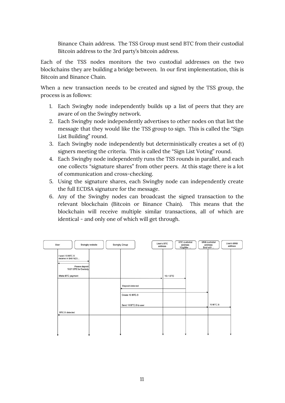Binance Chain address. The TSS Group must send BTC from their custodial Bitcoin address to the 3rd party's bitcoin address.

Each of the TSS nodes monitors the two custodial addresses on the two blockchains they are building a bridge between. In our first implementation, this is Bitcoin and Binance Chain.

When a new transaction needs to be created and signed by the TSS group, the process is as follows:

- 1. Each Swingby node independently builds up a list of peers that they are aware of on the Swingby network.
- 2. Each Swingby node independently advertises to other nodes on that list the message that they would like the TSS group to sign. This is called the "Sign List Building" round.
- 3. Each Swingby node independently but deterministically creates a set of (t) signers meeting the criteria. This is called the "Sign List Voting" round.
- 4. Each Swingby node independently runs the TSS rounds in parallel, and each one collects "signature shares" from other peers. At this stage there is a lot of communication and cross-checking.
- 5. Using the signature shares, each Swingby node can independently create the full ECDSA signature for the message.
- 6. Any of the Swingby nodes can broadcast the signed transaction to the relevant blockchain (Bitcoin or Binance Chain). This means that the blockchain will receive multiple similar transactions, all of which are identical - and only one of which will get through.

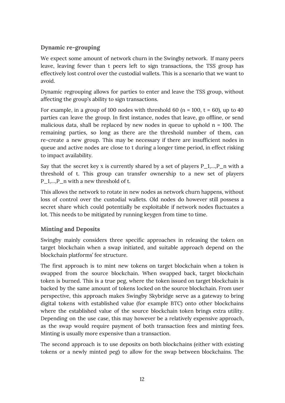### <span id="page-11-0"></span>**Dynamic re-grouping**

We expect some amount of network churn in the Swingby network. If many peers leave, leaving fewer than t peers left to sign transactions, the TSS group has effectively lost control over the custodial wallets. This is a scenario that we want to avoid.

Dynamic regrouping allows for parties to enter and leave the TSS group, without affecting the group's ability to sign transactions.

For example, in a group of 100 nodes with threshold 60 ( $n = 100$ ,  $t = 60$ ), up to 40 parties can leave the group. In first instance, nodes that leave, go offline, or send malicious data, shall be replaced by new nodes in queue to uphold  $n = 100$ . The remaining parties, so long as there are the threshold number of them, can re-create a new group. This may be necessary if there are insufficient nodes in queue and active nodes are close to t during a longer time period, in effect risking to impact availability.

Say that the secret key x is currently shared by a set of players  $P_1,...,P_n$  with a threshold of t. This group can transfer ownership to a new set of players P<sub>1</sub>,..., P<sub>n</sub> with a new threshold of t.

This allows the network to rotate in new nodes as network churn happens, without loss of control over the custodial wallets. Old nodes do however still possess a secret share which could potentially be exploitable if network nodes fluctuates a lot. This needs to be mitigated by running keygen from time to time.

### <span id="page-11-1"></span>**Minting and Deposits**

Swingby mainly considers three specific approaches in releasing the token on target blockchain when a swap initiated, and suitable approach depend on the blockchain platforms' fee structure.

The first approach is to mint new tokens on target blockchain when a token is swapped from the source blockchain. When swapped back, target blockchain token is burned. This is a true peg, where the token issued on target blockchain is backed by the same amount of tokens locked on the source blockchain. From user perspective, this approach makes Swingby Skybridge serve as a gateway to bring digital tokens with established value (for example BTC) onto other blockchains where the established value of the source blockchain token brings extra utility. Depending on the use case, this may however be a relatively expensive approach, as the swap would require payment of both transaction fees and minting fees. Minting is usually more expensive than a transaction.

The second approach is to use deposits on both blockchains (either with existing tokens or a newly minted peg) to allow for the swap between blockchains. The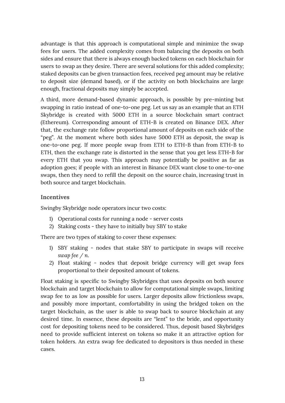advantage is that this approach is computational simple and minimize the swap fees for users. The added complexity comes from balancing the deposits on both sides and ensure that there is always enough backed tokens on each blockchain for users to swap as they desire. There are several solutions for this added complexity; staked deposits can be given transaction fees, received peg amount may be relative to deposit size (demand based), or if the activity on both blockchains are large enough, fractional deposits may simply be accepted.

A third, more demand-based dynamic approach, is possible by pre-minting but swapping in ratio instead of one-to-one peg. Let us say as an example that an ETH Skybridge is created with 5000 ETH in a source blockchain smart contract (Ethereum). Corresponding amount of ETH-B is created on Binance DEX. After that, the exchange rate follow proportional amount of deposits on each side of the "peg". At the moment where both sides have 5000 ETH as deposit, the swap is one-to-one peg. If more people swap from ETH to ETH-B than from ETH-B to ETH, then the exchange rate is distorted in the sense that you get less ETH-B for every ETH that you swap. This approach may potentially be positive as far as adoption goes; if people with an interest in Binance DEX want close to one-to-one swaps, then they need to refill the deposit on the source chain, increasing trust in both source and target blockchain.

#### <span id="page-12-0"></span>**Incentives**

Swingby Skybridge node operators incur two costs:

- 1) Operational costs for running a node server costs
- 2) Staking costs they have to initially buy SBY to stake

There are two types of staking to cover these expenses:

- 1) SBY staking nodes that stake SBY to participate in swaps will receive *swap fee / n*.
- 2) Float staking nodes that deposit bridge currency will get swap fees proportional to their deposited amount of tokens.

Float staking is specific to Swingby Skybridges that uses deposits on both source blockchain and target blockchain to allow for computational simple swaps, limiting swap fee to as low as possible for users. Larger deposits allow frictionless swaps, and possibly more important, comfortability in using the bridged token on the target blockchain, as the user is able to swap back to source blockchain at any desired time. In essence, these deposits are "lent" to the bride, and opportunity cost for depositing tokens need to be considered. Thus, deposit based Skybridges need to provide sufficient interest on tokens so make it an attractive option for token holders. An extra swap fee dedicated to depositors is thus needed in these cases.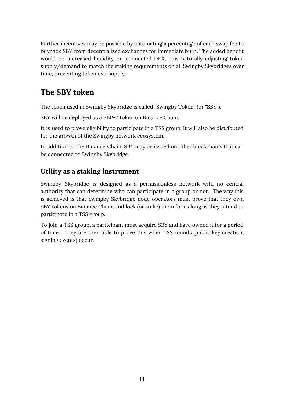Further incentives may be possible by automating a percentage of each swap fee to buyback SBY from decentralized exchanges for immediate burn. The added benefit would be increased liquidity on connected DEX, plus naturally adjusting token supply/demand to match the staking requirements on all Swingby Skybridges over time, preventing token oversupply.

# <span id="page-13-0"></span>**The SBY token**

The token used in Swingby Skybridge is called "Swingby Token" (or "SBY").

SBY will be deployed as a BEP-2 token on Binance Chain.

It is used to prove eligibility to participate in a TSS group. It will also be distributed for the growth of the Swingby network ecosystem.

In addition to the Binance Chain, SBY may be issued on other blockchains that can be connected to Swingby Skybridge.

# <span id="page-13-1"></span>**Utility as a staking instrument**

Swingby Skybridge is designed as a permissionless network with no central authority that can determine who can participate in a group or not. The way this is achieved is that Swingby Skybridge node operators must prove that they own SBY tokens on Binance Chain, and lock (or stake) them for as long as they intend to participate in a TSS group.

To join a TSS group, a participant must acquire SBY and have owned it for a period of time. They are then able to prove this when TSS rounds (public key creation, signing events) occur.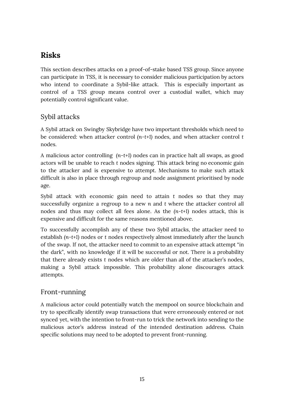# <span id="page-14-0"></span>**Risks**

This section describes attacks on a proof-of-stake based TSS group. Since anyone can participate in TSS, it is necessary to consider malicious participation by actors who intend to coordinate a Sybil-like attack. This is especially important as control of a TSS group means control over a custodial wallet, which may potentially control significant value.

# <span id="page-14-1"></span>Sybil attacks

A Sybil attack on Swingby Skybridge have two important thresholds which need to be considered: when attacker control *(n-t+1)* nodes, and when attacker control *t* nodes.

A malicious actor controlling *(n-t+1)* nodes can in practice halt all swaps, as good actors will be unable to reach *t* nodes signing. This attack bring no economic gain to the attacker and is expensive to attempt. Mechanisms to make such attack difficult is also in place through regroup and node assignment prioritised by node age.

Sybil attack with economic gain need to attain *t* nodes so that they may successfully organize a regroup to a new *n* and *t* where the attacker control all nodes and thus may collect all fees alone. As the *(n-t+1)* nodes attack, this is expensive and difficult for the same reasons mentioned above.

To successfully accomplish any of these two Sybil attacks, the attacker need to establish *(n-t+1)* nodes or *t* nodes respectively almost immediately after the launch of the swap. If not, the attacker need to commit to an expensive attack attempt "in the dark", with no knowledge if it will be successful or not. There is a probability that there already exists *t* nodes which are older than all of the attacker's nodes, making a Sybil attack impossible. This probability alone discourages attack attempts.

### <span id="page-14-2"></span>Front-running

A malicious actor could potentially watch the mempool on source blockchain and try to specifically identify swap transactions that were erroneously entered or not synced yet, with the intention to front-run to trick the network into sending to the malicious actor's address instead of the intended destination address. Chain specific solutions may need to be adopted to prevent front-running.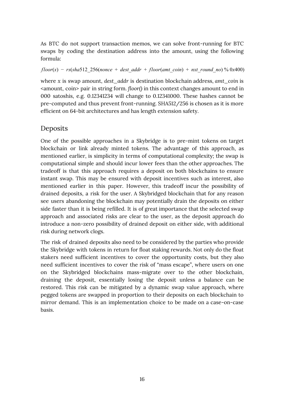As BTC do not support transaction memos, we can solve front-running for BTC swaps by coding the destination address into the amount, using the following formula:

*floor*(*x*) − *rs*(*sha512* 256(*nonce* + *dest addr* + *floor*(*amt coin*) + *nxt round no*) % 0*x*400)

where *x* is swap amount, *dest\_addr* is destination blockchain address, *amt\_coin* is <amount, coin> pair in string form. *floor()* in this context changes amount to end in 000 satoshis, e.g. 0.12341234 will change to 0.12341000. These hashes cannot be pre-computed and thus prevent front-running. SHA512/256 is chosen as it is more efficient on 64-bit architectures and has length extension safety.

### <span id="page-15-0"></span>Deposits

One of the possible approaches in a Skybridge is to pre-mint tokens on target blockchain or link already minted tokens. The advantage of this approach, as mentioned earlier, is simplicity in terms of computational complexity; the swap is computational simple and should incur lower fees than the other approaches. The tradeoff is that this approach requires a deposit on both blockchains to ensure instant swap. This may be ensured with deposit incentives such as interest, also mentioned earlier in this paper. However, this tradeoff incur the possibility of drained deposits, a risk for the user. A Skybridged blockchain that for any reason see users abandoning the blockchain may potentially drain the deposits on either side faster than it is being refilled. It is of great importance that the selected swap approach and associated risks are clear to the user, as the deposit approach do introduce a non-zero possibility of drained deposit on either side, with additional risk during network clogs.

The risk of drained deposits also need to be considered by the parties who provide the Skybridge with tokens in return for float staking rewards. Not only do the float stakers need sufficient incentives to cover the opportunity costs, but they also need sufficient incentives to cover the risk of "mass escape", where users on one on the Skybridged blockchains mass-migrate over to the other blockchain, draining the deposit, essentially losing the deposit unless a balance can be restored. This risk can be mitigated by a dynamic swap value approach, where pegged tokens are swapped in proportion to their deposits on each blockchain to mirror demand. This is an implementation choice to be made on a case-on-case basis.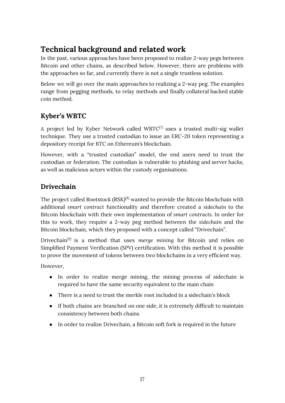# <span id="page-16-0"></span>**Technical background and related work**

In the past, various approaches have been proposed to realize 2-way pegs between Bitcoin and other chains, as described below. However, there are problems with the approaches so far, and currently there is not a single trustless solution.

Below we will go over the main approaches to realizing a 2-way peg. The examples range from pegging methods, to relay methods and finally collateral backed stable coin method.

# <span id="page-16-1"></span>**Kyber's WBTC**

A project led by Kyber Network called WBTC $[7]$  uses a trusted multi-sig wallet technique. They use a trusted custodian to issue an ERC-20 token representing a depository receipt for BTC on Ethereum's blockchain.

However, with a "trusted custodian" model, the end users need to trust the custodian or federation. The custodian is vulnerable to phishing and server hacks, as well as malicious actors within the custody organisations.

# <span id="page-16-2"></span>**Drivechain**

The project called Rootstock (RSK) $^{[8]}$  wanted to provide the Bitcoin blockchain with additional *smart contract* functionality and therefore created a *sidechain* to the Bitcoin blockchain with their own implementation of *smart contracts*. In order for this to work, they require a 2-way peg method between the *sidechain* and the Bitcoin blockchain, which they proposed with a concept called "Drivechain".

Drivechain [9] is a method that uses *merge mining* for Bitcoin and relies on Simplified Payment Verification (SPV) certification. With this method it is possible to prove the movement of tokens between two blockchains in a very efficient way.

However,

- In order to realize merge mining, the mining process of sidechain is required to have the same security equivalent to the main chain
- There is a need to trust the merkle root included in a sidechain's block
- If both chains are branched on one side, it is extremely difficult to maintain consistency between both chains
- In order to realize Drivechain, a Bitcoin soft fork is required in the future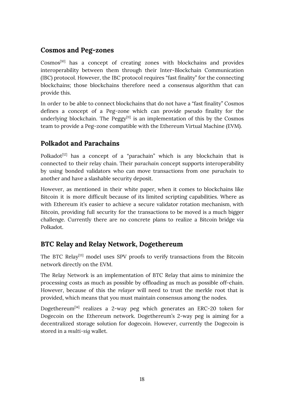# <span id="page-17-0"></span>**Cosmos and Peg-zones**

Cosmos<sup>[10]</sup> has a concept of creating zones with blockchains and provides interoperability between them through their Inter-Blockchain Communication (IBC) protocol. However, the IBC protocol requires "fast finality" for the connecting blockchains; those blockchains therefore need a consensus algorithm that can provide this.

In order to be able to connect blockchains that do not have a "fast finality" Cosmos defines a concept of a Peg-zone which can provide pseudo finality for the underlying blockchain. The Peggy $[11]$  is an implementation of this by the Cosmos team to provide a Peg-zone compatible with the Ethereum Virtual Machine (EVM).

# <span id="page-17-1"></span>**Polkadot and Parachains**

Polkadot<sup>[12]</sup> has a concept of a "parachain" which is any blockchain that is connected to their relay chain. Their *parachain* concept supports interoperability by using bonded validators who can move transactions from one *parachain* to another and have a slashable security deposit.

However, as mentioned in their white paper, when it comes to blockchains like Bitcoin it is more difficult because of its limited scripting capabilities. Where as with Ethereum it's easier to achieve a secure validator rotation mechanism, with Bitcoin, providing full security for the transactions to be moved is a much bigger challenge. Currently there are no concrete plans to realize a Bitcoin bridge via Polkadot.

### <span id="page-17-2"></span>**BTC Relay and Relay Network, Dogethereum**

The BTC Relay<sup>[13]</sup> model uses SPV proofs to verify transactions from the Bitcoin network directly on the EVM.

The Relay Network is an implementation of BTC Relay that aims to minimize the processing costs as much as possible by offloading as much as possible off-chain. However, because of this the *relayer* will need to trust the merkle root that is provided, which means that you must maintain consensus among the nodes.

Dogethereum[14] realizes a 2-way peg which generates an ERC-20 token for Dogecoin on the Ethereum network. Dogethereum's 2-way peg is aiming for a decentralized storage solution for dogecoin. However, currently the Dogecoin is stored in a *multi-sig* wallet.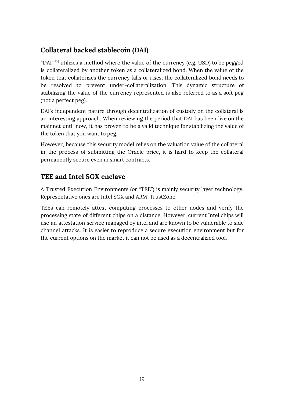# <span id="page-18-0"></span>**Collateral backed stablecoin (DAI)**

"DAI" $^{[15]}$  utilizes a method where the value of the currency (e.g. USD) to be pegged is collateralized by another token as a collateralized bond. When the value of the token that collaterizes the currency falls or rises, the collateralized bond needs to be resolved to prevent under-collateralization. This dynamic structure of stabilizing the value of the currency represented is also referred to as a soft peg (not a perfect peg).

DAI's independent nature through decentralization of custody on the collateral is an interesting approach. When reviewing the period that DAI has been live on the mainnet until now, it has proven to be a valid technique for stabilizing the value of the token that you want to peg.

However, because this security model relies on the valuation value of the collateral in the process of submitting the Oracle price, it is hard to keep the collateral permanently secure even in smart contracts.

### <span id="page-18-1"></span>**TEE and Intel SGX enclave**

A Trusted Execution Environments (or "TEE") is mainly security layer technology. Representative ones are Intel SGX and ARM-TrustZone.

TEEs can remotely attest computing processes to other nodes and verify the processing state of different chips on a distance. However, current Intel chips will use an attestation service managed by intel and are known to be vulnerable to side channel attacks. It is easier to reproduce a secure execution environment but for the current options on the market it can not be used as a decentralized tool.